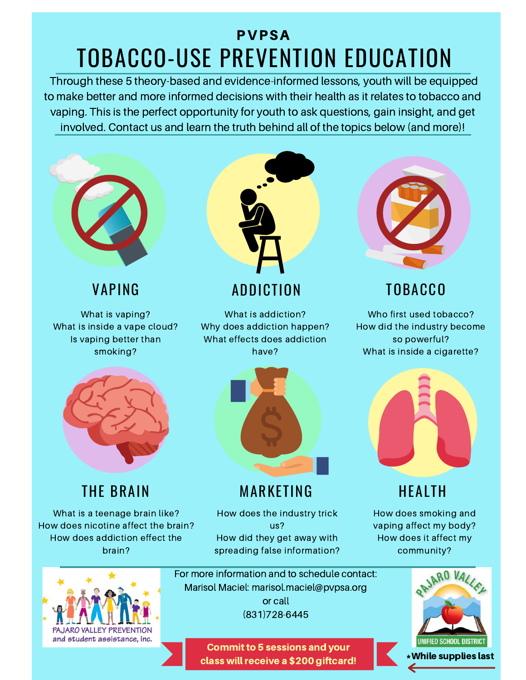# TOBACCO-USE PREVENTION EDUCATION PVPSA

Through these 5 theory-based and evidence-informed lessons, youth will be equipped to make better and more informed decisions with their health as it relates to tobacco and vaping. This is the perfect opportunity for youth to ask questions, gain insight, and get involved. Contact us and learn the truth behind all of the topics below (and more)!



What is vaping? What is inside a vape cloud? Is vaping better than smoking?



What is addiction? Why does addiction happen? What effects does addiction have?



Who first used tobacco? How did the industry become so powerful? What is inside a cigarette?



### THE BRAIN

What is a teenage brain like? How does nicotine affect the brain? How does addiction effect the brain?



### MARKETING

How does the industry trick us? How did they get away with spreading false information?



## HEALTH

How does smoking and vaping affect my body? How does it affect my community?



For more information and to schedule contact: Marisol Maciel: marisol.maciel@pvpsa.org or call (831)728-6445

> **Commit to 5 sessions and your** class will receive a \$200 giftcard!